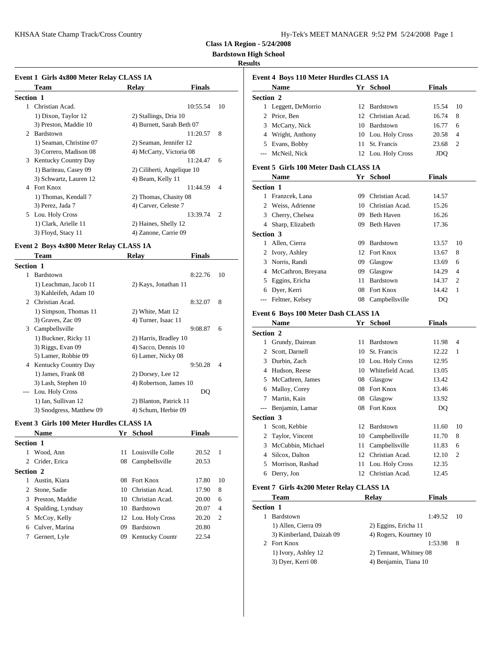**Bardstown High School**

### **Results**

| Event 1 Girls 4x800 Meter Relay CLASS 1A | Event 4 Bo              |                            |               |                |              |            |
|------------------------------------------|-------------------------|----------------------------|---------------|----------------|--------------|------------|
|                                          | <b>Team</b>             | Relay                      | <b>Finals</b> |                |              | <b>Nam</b> |
| <b>Section 1</b>                         |                         |                            |               |                | Section 2    |            |
|                                          | Christian Acad.         |                            | 10:55.54      | 10             | $\mathbf{1}$ | Legge      |
|                                          | 1) Dixon, Taylor 12     | 2) Stallings, Dria 10      |               |                | 2            | Price,     |
|                                          | 3) Preston, Maddie 10   | 4) Burnett, Sarah Beth 07  |               |                | 3            | McCa       |
|                                          | 2 Bardstown             |                            | 11:20.57      | 8              | 4            | Wrigh      |
|                                          | 1) Seaman, Christine 07 | 2) Seaman, Jennifer 12     |               |                | 5            | Evans      |
|                                          | 3) Correro, Madison 08  | 4) McCarty, Victoria 08    |               |                |              | McNe       |
|                                          | 3 Kentucky Country Day  |                            | 11:24.47      | 6              |              |            |
|                                          | 1) Bariteau, Casey 09   | 2) Ciliberti, Angelique 10 |               |                | Event 5 Gi   |            |
|                                          | 3) Schwartz, Lauren 12  | 4) Beam, Kelly 11          |               |                |              | <b>Nam</b> |
| 4                                        | Fort Knox               |                            | 11:44.59      | $\overline{4}$ | Section 1    |            |
|                                          | 1) Thomas, Kendall 7    | 2) Thomas, Chasity 08      |               |                |              | Franz      |
|                                          | 3) Perez, Jada 7        | 4) Carver, Celeste 7       |               |                | 2            | Weiss      |
|                                          | 5 Lou. Holy Cross       |                            | 13:39.74      | 2              | 3            | Cherr      |
|                                          | 1) Clark, Arielle 11    | 2) Haines, Shelly 12       |               |                | 4            | Sharp      |
|                                          | 3) Floyd, Stacy 11      | 4) Zanone, Carrie 09       |               |                | Section 3    |            |

# **Event 2 Boys 4x800 Meter Relay CLASS 1A**

|                  | Team                        | Relay                  | <b>Finals</b> |                |           | $\angle$ TVOLY, ASH   |
|------------------|-----------------------------|------------------------|---------------|----------------|-----------|-----------------------|
| <b>Section 1</b> |                             |                        |               |                |           | 3 Norris, Ra          |
|                  | Bardstown                   |                        | 8:22.76       | 10             | 4         | McCathron             |
|                  | 1) Leachman, Jacob 11       | 2) Kays, Jonathan 11   |               |                | 5.        | Eggins, Er            |
|                  | 3) Kahleifeh, Adam 10       |                        |               |                | 6         | Dyer, Kerr            |
| $\mathfrak{D}$   | Christian Acad.             |                        | 8:32.07       | 8              |           | --- Feltner, Ko       |
|                  | 1) Simpson, Thomas 11       | 2) White, Matt 12      |               |                |           | <b>Event 6 Boys 1</b> |
|                  | 3) Graves, Zac 09           | 4) Turner, Isaac 11    |               |                |           | <b>Name</b>           |
| 3                | Campbellsville              |                        | 9:08.87       | 6              | Section 2 |                       |
|                  | 1) Buckner, Ricky 11        | 2) Harris, Bradley 10  |               |                |           | 1 Grundy, D           |
|                  | 3) Riggs, Evan 09           | 4) Sacco, Dennis 10    |               |                |           |                       |
|                  | 5) Lamer, Robbie 09         | 6) Lamer, Nicky 08     |               |                |           | 2 Scott, Dari         |
| 4                | <b>Kentucky Country Day</b> |                        | 9:50.28       | $\overline{4}$ | 3         | Durbin, Za            |
|                  | 1) James, Frank 08          | 2) Dorsey, Lee 12      |               |                | 4         | Hudson, R             |
|                  | 3) Lash, Stephen 10         | 4) Robertson, James 10 |               |                | 5.        | McCathrer             |
| $\cdots$         | Lou. Holy Cross             |                        | DQ            |                | 6         | Malloy, Co            |
|                  | 1) Ian, Sullivan 12         | 2) Blanton, Patrick 11 |               |                |           | Martin, Ka            |
|                  | 3) Snodgress, Matthew 09    | 4) Schum, Herbie 09    |               |                | $---$     | Benjamin,             |
|                  |                             |                        |               |                |           |                       |

## **Event 3 Girls 100 Meter Hurdles CLASS 1A**

|           |                     |    |                        |               |                |                  | <u>poou.</u>       |
|-----------|---------------------|----|------------------------|---------------|----------------|------------------|--------------------|
|           | <b>Name</b>         |    | Yr School              | <b>Finals</b> |                |                  | 2 Taylo            |
| Section 1 |                     |    |                        |               |                |                  | 3 McCu             |
|           | 1 Wood, Ann         |    | 11 Louisville Colle    | 20.52         | $\overline{1}$ |                  | 4 Silco            |
|           | 2 Crider, Erica     |    | 08 Campbellsville      | 20.53         |                |                  | 5 Morri            |
| Section 2 |                     |    |                        |               |                |                  | 6 Derry            |
| 1         | Austin, Kiara       |    | 08 Fort Knox           | 17.80         | 10             |                  |                    |
| 2         | Stone, Sadie        |    | 10 Christian Acad.     | 17.90         | 8              | Event 7 Gi       |                    |
|           | 3 Preston, Maddie   |    | 10 Christian Acad.     | 20.00         | 6              |                  | Tean               |
|           | 4 Spalding, Lyndsay |    | 10 Bardstown           | 20.07         | $\overline{4}$ | <b>Section 1</b> |                    |
|           | 5 McCoy, Kelly      |    | 12 Lou. Holy Cross     | 20.20         | $\overline{2}$ |                  | Bards              |
|           | 6 Culver, Marina    | 09 | Bardstown              | 20.80         |                |                  | $1)$ All           |
| 7         | Gernert, Lyle       | 09 | <b>Kentucky Countr</b> | 22.54         |                |                  | 3) Kii             |
|           |                     |    |                        |               |                | ↑                | $E_{\text{out}}$ L |

|                  | Event 4 Boys 110 Meter Hurdles CLASS 1A  |    |                     |               |    |
|------------------|------------------------------------------|----|---------------------|---------------|----|
|                  | Name                                     |    | Yr School           | Finals        |    |
| <b>Section 2</b> |                                          |    |                     |               |    |
|                  | 1 Leggett, DeMorrio                      |    | 12 Bardstown        | 15.54         | 10 |
|                  | 2 Price, Ben                             |    | 12 Christian Acad.  | 16.74         | 8  |
| 3                | McCarty, Nick                            |    | 10 Bardstown        | 16.77         | 6  |
|                  | 4 Wright, Anthony                        |    | 10 Lou. Holy Cross  | 20.58         | 4  |
|                  | 5 Evans, Bobby                           | 11 | St. Francis         | 23.68         | 2  |
|                  | --- McNeil, Nick                         |    | 12 Lou. Holy Cross  | JDQ           |    |
|                  | Event 5 Girls 100 Meter Dash CLASS 1A    |    |                     |               |    |
|                  | Name                                     |    | Yr School           | Finals        |    |
| Section 1        |                                          |    |                     |               |    |
|                  | 1 Franzcek, Lana                         |    | 09 Christian Acad.  | 14.57         |    |
|                  | 2 Weiss, Adrienne                        |    | 10 Christian Acad.  | 15.26         |    |
|                  | 3 Cherry, Chelsea                        |    | 09 Beth Haven       | 16.26         |    |
|                  | 4 Sharp, Elizabeth                       |    | 09 Beth Haven       | 17.36         |    |
| <b>Section 3</b> |                                          |    |                     |               |    |
|                  | 1 Allen, Cierra                          |    | 09 Bardstown        | 13.57         | 10 |
|                  | 2 Ivory, Ashley                          |    | 12 Fort Knox        | 13.67         | 8  |
|                  | 3 Norris, Randi                          |    | 09 Glasgow          | 13.69         | 6  |
|                  | 4 McCathron, Breyana                     |    | 09 Glasgow          | 14.29         | 4  |
|                  | 5 Eggins, Ericha                         |    | 11 Bardstown        | 14.37         | 2  |
|                  | 6 Dyer, Kerri                            |    | 08 Fort Knox        | 14.42         | 1  |
|                  | --- Feltner, Kelsey                      |    | 08 Campbellsville   | DQ            |    |
|                  | Event 6 Boys 100 Meter Dash CLASS 1A     |    |                     |               |    |
|                  | <b>Name</b>                              |    | Yr School           | Finals        |    |
| <b>Section 2</b> |                                          |    |                     |               |    |
|                  | 1 Grundy, Dairean                        |    | 11 Bardstown        | 11.98         | 4  |
|                  | 2 Scott, Darnell                         | 10 | St. Francis         | 12.22         | 1  |
|                  | 3 Durbin, Zach                           |    | 10 Lou. Holy Cross  | 12.95         |    |
|                  | 4 Hudson, Reese                          |    | 10 Whitefield Acad. | 13.05         |    |
|                  | 5 McCathren, James                       |    | 08 Glasgow          | 13.42         |    |
|                  | 6 Malloy, Corey                          |    | 08 Fort Knox        | 13.46         |    |
| 7                | Martin, Kain                             | 08 | Glasgow             | 13.92         |    |
|                  | --- Benjamin, Lamar                      |    | 08 Fort Knox        | DQ            |    |
| Section 3        |                                          |    |                     |               |    |
|                  | 1 Scott, Kebbie                          |    | 12 Bardstown        | 11.60         | 10 |
|                  | 2 Taylor, Vincent                        |    | 10 Campbellsville   | 11.70         | 8  |
|                  | 3 McCubbin, Michael                      |    | 11 Campbellsville   | 11.83         | 6  |
| 4                | Silcox, Dalton                           | 12 | Christian Acad.     | 12.10         | 2  |
| 5                | Morrison, Rashad                         | 11 | Lou. Holy Cross     | 12.35         |    |
|                  | 6 Derry, Jon                             |    | 12 Christian Acad.  | 12.45         |    |
|                  | Event 7 Girls 4x200 Meter Relay CLASS 1A |    |                     |               |    |
|                  | Team                                     |    | <b>Relay</b>        | <b>Finals</b> |    |
|                  |                                          |    |                     |               |    |

|                          | -----                  |      |
|--------------------------|------------------------|------|
| <b>Section 1</b>         |                        |      |
| Bardstown                | 1:49.52                | - 10 |
| 1) Allen, Cierra 09      | 2) Eggins, Ericha 11   |      |
| 3) Kimberland, Daizah 09 | 4) Rogers, Kourtney 10 |      |
| 2 Fort Knox              | 1:53.98                | -8   |
| 1) Ivory, Ashley 12      | 2) Tennant, Whitney 08 |      |
| 3) Dyer, Kerri 08        | 4) Benjamin, Tiana 10  |      |
|                          |                        |      |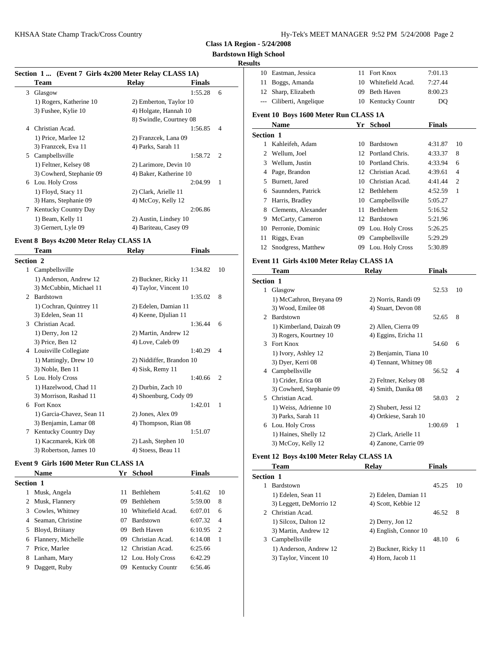## **Bardstown High School**

### **Results**

#### **Section 1 ... (Event 7 Girls 4x200 Meter Relay CLASS 1A)**

|   | $\mathbf{u}$             |                                                  |               |                |           |           |
|---|--------------------------|--------------------------------------------------|---------------|----------------|-----------|-----------|
|   | Team                     | Relay                                            | <b>Finals</b> |                | 11        | Bog       |
| 3 | Glasgow                  |                                                  | 1:55.28       | 6              |           | 12 Shar   |
|   | 1) Rogers, Katherine 10  | 2) Emberton, Taylor 10                           |               |                |           | --- Cilit |
|   | 3) Fushee, Kylie 10      | 4) Holgate, Hannah 10<br>8) Swindle, Courtney 08 |               |                | Event 10  |           |
| 4 | Christian Acad.          |                                                  | 1:56.85       | $\overline{4}$ |           | Nan       |
|   | 1) Price, Marlee 12      | 2) Franzcek, Lana 09                             |               |                | Section 1 |           |
|   | 3) Franzcek, Eva 11      | 4) Parks, Sarah 11                               |               |                |           | Kah       |
| 5 | Campbellsville           |                                                  | 1:58.72       | $\overline{2}$ | 2         | Wel       |
|   | 1) Feltner, Kelsey 08    | 2) Larimore, Devin 10                            |               |                | 3         | Wel       |
|   | 3) Cowherd, Stephanie 09 | 4) Baker, Katherine 10                           |               |                | 4         | Page      |
| 6 | Lou. Holy Cross          |                                                  | 2:04.99       | $\overline{1}$ | 5.        | Burr      |
|   | 1) Floyd, Stacy 11       | 2) Clark, Arielle 11                             |               |                | 6         | Saur      |
|   | 3) Hans, Stephanie 09    | 4) McCoy, Kelly 12                               |               |                |           | Harr      |
| 7 | Kentucky Country Day     |                                                  | 2:06.86       |                | 8         | Clen      |
|   | 1) Beam, Kelly 11        | 2) Austin, Lindsey 10                            |               |                | 9         | McC       |
|   | 3) Gernert, Lyle 09      | 4) Bariteau, Casey 09                            |               |                | 10        | Perro     |
|   |                          |                                                  |               |                |           |           |

#### **Event 8 Boys 4x200 Meter Relay CLASS 1A**

| Team                             | <b>Relay</b> |         |                                                                                                                                                                                                                                                                                                                                     | $\frac{1}{2}$<br><b>DILOU</b> |
|----------------------------------|--------------|---------|-------------------------------------------------------------------------------------------------------------------------------------------------------------------------------------------------------------------------------------------------------------------------------------------------------------------------------------|-------------------------------|
| <b>Section 2</b>                 |              |         |                                                                                                                                                                                                                                                                                                                                     | Event 11 G                    |
| Campbellsville<br>1              |              | 1:34.82 | 10                                                                                                                                                                                                                                                                                                                                  | Tean                          |
| 1) Anderson, Andrew 12           |              |         |                                                                                                                                                                                                                                                                                                                                     | Section 1                     |
| 3) McCubbin, Michael 11          |              |         |                                                                                                                                                                                                                                                                                                                                     | Glasg<br>$\mathbf{1}$         |
| 2 Bardstown                      |              | 1:35.02 | 8                                                                                                                                                                                                                                                                                                                                   | $1)$ M                        |
| 1) Cochran, Quintrey 11          |              |         |                                                                                                                                                                                                                                                                                                                                     | $3)$ Wo                       |
| 3) Edelen, Sean 11               |              |         |                                                                                                                                                                                                                                                                                                                                     | <b>Bards</b><br>2             |
| Christian Acad.<br>$\mathcal{R}$ |              | 1:36.44 | 6                                                                                                                                                                                                                                                                                                                                   | $1)$ Ki                       |
| $1)$ Derry, Jon $12$             |              |         |                                                                                                                                                                                                                                                                                                                                     | $3)$ Ro                       |
| 3) Price, Ben 12                 |              |         |                                                                                                                                                                                                                                                                                                                                     | Fort F<br>3                   |
| 4 Louisville Collegiate          |              | 1:40.29 | $\overline{4}$                                                                                                                                                                                                                                                                                                                      | $1)$ Ivo                      |
| 1) Mattingly, Drew 10            |              |         |                                                                                                                                                                                                                                                                                                                                     | $3)$ Dy                       |
| 3) Noble, Ben 11                 |              |         |                                                                                                                                                                                                                                                                                                                                     | Camp<br>4                     |
| 5 Lou. Holy Cross                |              | 1:40.66 | $\overline{2}$                                                                                                                                                                                                                                                                                                                      | $1)$ Cri                      |
| 1) Hazelwood, Chad 11            |              |         |                                                                                                                                                                                                                                                                                                                                     | $3)$ Co                       |
| 3) Morrison, Rashad 11           |              |         |                                                                                                                                                                                                                                                                                                                                     | Christ<br>5                   |
| <b>Fort Knox</b><br>6            |              | 1:42.01 | 1                                                                                                                                                                                                                                                                                                                                   | $1)$ We                       |
| 1) Garcia-Chavez, Sean 11        |              |         |                                                                                                                                                                                                                                                                                                                                     | 3) Par                        |
| 3) Benjamin, Lamar 08            |              |         |                                                                                                                                                                                                                                                                                                                                     | Lou. I<br>6                   |
| <b>Kentucky Country Day</b>      |              | 1:51.07 |                                                                                                                                                                                                                                                                                                                                     | $1)$ Ha                       |
| 1) Kaczmarek, Kirk 08            |              |         |                                                                                                                                                                                                                                                                                                                                     | $3)$ Mc                       |
| 3) Robertson, James 10           |              |         |                                                                                                                                                                                                                                                                                                                                     |                               |
|                                  |              |         | 2) Buckner, Ricky 11<br>4) Taylor, Vincent 10<br>2) Edelen, Damian 11<br>4) Keene, Djulian 11<br>2) Martin, Andrew 12<br>4) Love, Caleb 09<br>2) Niddiffer, Brandon 10<br>4) Sisk, Remy 11<br>2) Durbin, Zach 10<br>4) Shoenburg, Cody 09<br>2) Jones, Alex 09<br>4) Thompson, Rian 08<br>2) Lash, Stephen 10<br>4) Stoess, Beau 11 | <b>Finals</b>                 |

## **Event 9 Girls 1600 Meter Run CLASS 1A**

|                  | <b>Name</b>          |     | Yr School           | <b>Finals</b> |                | Section 1    |
|------------------|----------------------|-----|---------------------|---------------|----------------|--------------|
| <b>Section 1</b> |                      |     |                     |               |                | <b>Bards</b> |
|                  | 1 Musk, Angela       | 11  | Bethlehem           | 5:41.62       | -10            | $1)$ Ed      |
|                  | 2 Musk, Flannery     | 09  | Bethlehem           | 5:59.00       | 8              | $3)$ Les     |
|                  | 3 Cowles, Whitney    |     | 10 Whitefield Acad. | 6:07.01       | 6              | Christ<br>2  |
|                  | 4 Seaman, Christine  | 07  | Bardstown           | 6:07.32       | $\overline{4}$ | $1)$ Sil     |
|                  | 5 Bloyd, Briitany    | 09  | Beth Haven          | 6:10.95       | - 2            | $3)$ Ma      |
|                  | 6 Flannery, Michelle | 09. | Christian Acad.     | 6:14.08       | - 1            | Camp<br>3    |
|                  | 7 Price, Marlee      |     | 12 Christian Acad.  | 6:25.66       |                | 1) An        |
|                  | 8 Lanham, Mary       |     | 12 Lou. Holy Cross  | 6:42.29       |                | $3)$ Ta      |
| 9                | Daggett, Ruby        |     | 09 Kentucky Countr  | 6:56.46       |                |              |
|                  |                      |     |                     |               |                |              |

| πω               |                                       |    |                   |               |                |
|------------------|---------------------------------------|----|-------------------|---------------|----------------|
| 10               | Eastman, Jessica                      | 11 | Fort Knox         | 7:01.13       |                |
| 11               | Boggs, Amanda                         | 10 | Whitefield Acad.  | 7:27.44       |                |
| 12               | Sharp, Elizabeth                      | 09 | <b>Beth Haven</b> | 8:00.23       |                |
|                  | Ciliberti, Angelique                  | 10 | Kentucky Countr   | DQ            |                |
|                  | Event 10 Boys 1600 Meter Run CLASS 1A |    |                   |               |                |
|                  | <b>Name</b>                           |    | Yr School         | <b>Finals</b> |                |
| <b>Section 1</b> |                                       |    |                   |               |                |
|                  | Kahleifeh, Adam                       | 10 | Bardstown         | 4:31.87       | 10             |
| 2                | Wellum, Joel                          | 12 | Portland Chris.   | 4:33.37       | 8              |
| 3                | Wellum, Justin                        | 10 | Portland Chris.   | 4:33.94       | 6              |
| 4                | Page, Brandon                         | 12 | Christian Acad.   | 4:39.61       | $\overline{4}$ |
| 5                | Burnett, Jared                        | 10 | Christian Acad.   | 4:41.44       | $\overline{c}$ |
| 6                | Saunnders, Patrick                    | 12 | Bethlehem         | 4:52.59       | 1              |
| 7                | Harris, Bradley                       | 10 | Campbellsville    | 5:05.27       |                |
| 8                | Clements, Alexander                   | 11 | Bethlehem         | 5:16.52       |                |
| 9                | McCarty, Cameron                      | 12 | Bardstown         | 5:21.96       |                |
| 10               | Perronie, Dominic                     | 09 | Lou. Holy Cross   | 5:26.25       |                |
| 11               | Riggs, Evan                           | 09 | Campbellsville    | 5:29.29       |                |
| 12               | Snodgress, Matthew                    | 09 | Lou. Holy Cross   | 5:30.89       |                |
|                  |                                       |    |                   |               |                |

## **Event 11 Girls 4x100 Meter Relay CLASS 1A**

| <b>Team</b>              | Relay                | <b>Finals</b> |                                                                                                   |
|--------------------------|----------------------|---------------|---------------------------------------------------------------------------------------------------|
| Section 1                |                      |               |                                                                                                   |
| Glasgow                  |                      | 52.53         | 10                                                                                                |
| 1) McCathron, Breyana 09 | 2) Norris, Randi 09  |               |                                                                                                   |
| 3) Wood, Emilee 08       | 4) Stuart, Devon 08  |               |                                                                                                   |
| Bardstown                |                      | 52.65         | 8                                                                                                 |
| 1) Kimberland, Daizah 09 | 2) Allen, Cierra 09  |               |                                                                                                   |
| 3) Rogers, Kourtney 10   | 4) Eggins, Ericha 11 |               |                                                                                                   |
| <b>Fort Knox</b>         |                      | 54.60         | 6                                                                                                 |
| 1) Ivory, Ashley 12      |                      |               |                                                                                                   |
| 3) Dyer, Kerri 08        |                      |               |                                                                                                   |
| Campbellsville           |                      | 56.52         | $\overline{4}$                                                                                    |
| 1) Crider, Erica 08      |                      |               |                                                                                                   |
| 3) Cowherd, Stephanie 09 | 4) Smith, Danika 08  |               |                                                                                                   |
| Christian Acad.          |                      | 58.03         | 2                                                                                                 |
| 1) Weiss, Adrienne 10    | 2) Shubert, Jessi 12 |               |                                                                                                   |
| 3) Parks, Sarah 11       |                      |               |                                                                                                   |
| 6 Lou. Holy Cross        |                      | 1:00.69       | 1                                                                                                 |
| 1) Haines, Shelly 12     | 2) Clark, Arielle 11 |               |                                                                                                   |
| 3) McCoy, Kelly 12       | 4) Zanone, Carrie 09 |               |                                                                                                   |
|                          |                      |               | 2) Benjamin, Tiana 10<br>4) Tennant, Whitney 08<br>2) Feltner, Kelsey 08<br>4) Ortkiese, Sarah 10 |

#### **Event 12 Boys 4x100 Meter Relay CLASS 1A**

|           | <b>Team</b>             | Relay                 | <b>Finals</b> |      |
|-----------|-------------------------|-----------------------|---------------|------|
| Section 1 |                         |                       |               |      |
|           | Bardstown               |                       | 45.25         | - 10 |
|           | 1) Edelen, Sean 11      | 2) Edelen, Damian 11  |               |      |
|           | 3) Leggett, DeMorrio 12 | 4) Scott, Kebbie 12   |               |      |
|           | 2 Christian Acad.       |                       | 46.52         | - 8  |
|           | 1) Silcox, Dalton 12    | $2)$ Derry, Jon 12    |               |      |
|           | 3) Martin, Andrew 12    | 4) English, Connor 10 |               |      |
|           | 3 Campbellsville        |                       | 48.10         | 6    |
|           | 1) Anderson, Andrew 12  | 2) Buckner, Ricky 11  |               |      |
|           | 3) Taylor, Vincent 10   | 4) Horn, Jacob 11     |               |      |
|           |                         |                       |               |      |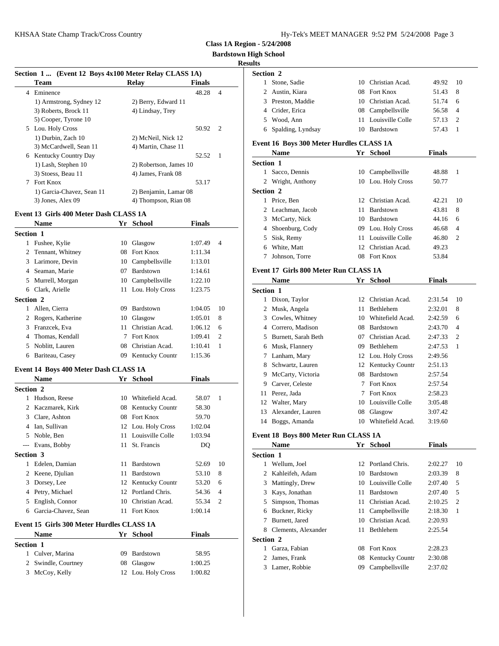| Hy-Tek's MEET MANAGER 9:52 PM 5/24/2008 Page 3 |  |  |  |
|------------------------------------------------|--|--|--|
|------------------------------------------------|--|--|--|

**Bardstown High School**

### **Results**

|           |                                                       |    |                        |               |                | <b>Results</b>            |
|-----------|-------------------------------------------------------|----|------------------------|---------------|----------------|---------------------------|
|           | Section 1  (Event 12 Boys 4x100 Meter Relay CLASS 1A) |    |                        |               |                | Section 2                 |
|           | Team                                                  |    | <b>Relay</b>           | Finals        |                | 1 Stone, Sad              |
|           | 4 Eminence                                            |    |                        | 48.28         | $\overline{4}$ | 2 Austin, Ki              |
|           | 1) Armstrong, Sydney 12                               |    | 2) Berry, Edward 11    |               |                | 3 Preston, M              |
|           | 3) Roberts, Brock 11                                  |    | 4) Lindsay, Trey       |               |                | 4 Crider, Eri             |
|           | 5) Cooper, Tyrone 10                                  |    |                        |               |                | 5 Wood, An                |
|           | 5 Lou. Holy Cross                                     |    |                        | 50.92         | 2              | Spalding, l<br>6          |
|           | 1) Durbin, Zach 10                                    |    | 2) McNeil, Nick 12     |               |                |                           |
|           | 3) McCardwell, Sean 11                                |    | 4) Martin, Chase 11    |               |                | <b>Event 16 Boys</b>      |
|           | 6 Kentucky Country Day                                |    |                        | 52.52         | 1              | Name                      |
|           | 1) Lash, Stephen 10                                   |    | 2) Robertson, James 10 |               |                | Section 1                 |
|           | 3) Stoess, Beau 11                                    |    | 4) James, Frank 08     |               |                | 1 Sacco, Dei              |
|           | 7 Fort Knox                                           |    |                        | 53.17         |                | 2 Wright, Ar              |
|           | 1) Garcia-Chavez, Sean 11                             |    | 2) Benjamin, Lamar 08  |               |                | <b>Section 2</b>          |
|           | 3) Jones, Alex 09                                     |    | 4) Thompson, Rian 08   |               |                | 1 Price, Ben              |
|           | Event 13 Girls 400 Meter Dash CLASS 1A                |    |                        |               |                | 2 Leachman                |
|           | <b>Name</b>                                           |    | Yr School              | <b>Finals</b> |                | 3 McCarty, I              |
|           |                                                       |    |                        |               |                | Shoenburg<br>4            |
| Section 1 |                                                       |    |                        |               |                | Sisk, Rem<br>5            |
|           | 1 Fushee, Kylie                                       |    | 10 Glasgow             | 1:07.49       | $\overline{4}$ | 6 White, Ma               |
|           | 2 Tennant, Whitney                                    |    | 08 Fort Knox           | 1:11.34       |                | Johnson, T<br>7           |
|           | 3 Larimore, Devin                                     |    | 10 Campbellsville      | 1:13.01       |                |                           |
|           | 4 Seaman, Marie                                       | 07 | Bardstown              | 1:14.61       |                | <b>Event 17 Girls</b>     |
|           | 5 Murrell, Morgan                                     |    | 10 Campbellsville      | 1:22.10       |                | Name                      |
|           | 6 Clark, Arielle                                      |    | 11 Lou. Holy Cross     | 1:23.75       |                | Section 1                 |
| Section 2 |                                                       |    |                        |               |                | 1 Dixon, Tay              |
|           | 1 Allen, Cierra                                       |    | 09 Bardstown           | 1:04.05       | 10             | Musk, Ang<br>$\mathbf{2}$ |
|           | 2 Rogers, Katherine                                   |    | 10 Glasgow             | 1:05.01       | 8              | 3<br>Cowles, W            |
|           | 3 Franzcek, Eva                                       |    | 11 Christian Acad.     | 1:06.12       | 6              | Correro, M.               |
|           | 4 Thomas, Kendall                                     |    | 7 Fort Knox            | 1:09.41       | 2              | Burnett, Sa<br>5          |
| 5         | Noblitt, Lauren                                       |    | 08 Christian Acad.     | 1:10.41       | 1              | 6 Musk, Flar              |
|           | 6 Bariteau, Casey                                     |    | 09 Kentucky Countr     | 1:15.36       |                | 7 Lanham, N               |
|           |                                                       |    |                        |               |                | 8 Schwartz,               |
|           | Event 14 Boys 400 Meter Dash CLASS 1A                 |    |                        |               |                | 9 McCarty,                |
|           | <b>Name</b>                                           |    | Yr School              | <b>Finals</b> |                | Carver, Ce<br>9           |
| Section 2 |                                                       |    |                        |               |                | Perez, Jada<br>11         |
|           | 1 Hudson, Reese                                       |    | 10 Whitefield Acad.    | 58.07         | $\mathbf{1}$   | Walter, Ma<br>12          |
|           | 2 Kaczmarek, Kirk                                     |    | 08 Kentucky Countr     | 58.30         |                | 13<br>Alexander.          |
|           | 3 Clare, Ashton                                       |    | 08 Fort Knox           | 59.70         |                | 14 Boggs, An              |
|           | 4 Ian, Sullivan                                       |    | 12 Lou. Holy Cross     | 1:02.04       |                |                           |
|           | 5 Noble, Ben                                          |    | 11 Louisville Colle    | 1:03.94       |                | <b>Event 18 Boys</b>      |
|           | --- Evans, Bobby                                      | 11 | St. Francis            | DQ            |                | <b>Name</b>               |
| Section 3 |                                                       |    |                        |               |                | Section 1                 |
|           | 1 Edelen, Damian                                      |    | 11 Bardstown           | 52.69         | 10             | 1 Wellum, Jo              |
|           | 2 Keene, Djulian                                      |    | 11 Bardstown           | 53.10         | 8              | 2 Kahleifeh,              |
|           | 3 Dorsey, Lee                                         |    | 12 Kentucky Countr     | 53.20         | 6              | 3 Mattingly,              |
|           | 4 Petry, Michael                                      |    | 12 Portland Chris.     | 54.36         | 4              | 3 Kays, Jona              |
|           | 5 English, Connor                                     |    | 10 Christian Acad.     | 55.34         | 2              | Simpson, 7<br>5           |
|           | 6 Garcia-Chavez, Sean                                 |    | 11 Fort Knox           | 1:00.14       |                | 6 Buckner, F              |
|           |                                                       |    |                        |               |                | Burnett, Ja<br>7          |
|           | Event 15 Girls 300 Meter Hurdles CLASS 1A             |    |                        |               |                | 8 Clements,               |
|           | Name                                                  |    | Yr School              | <b>Finals</b> |                | Section 2                 |

| <b>Section 1</b> |                                                                                 |  |  |  |  |
|------------------|---------------------------------------------------------------------------------|--|--|--|--|
| 09 Bardstown     | 58.95<br>$\mathbf{2}$                                                           |  |  |  |  |
| 08 Glasgow       | 1:00.25<br>3 <sup>1</sup>                                                       |  |  |  |  |
|                  | 1:00.82                                                                         |  |  |  |  |
|                  | 1 Culver, Marina<br>2 Swindle, Courtney<br>3 McCoy, Kelly<br>12 Lou. Holy Cross |  |  |  |  |

| 1                | Stone, Sadie                             |    | 10 Christian Acad.  | 49.92         | 10             |
|------------------|------------------------------------------|----|---------------------|---------------|----------------|
|                  | 2 Austin, Kiara                          |    | 08 Fort Knox        | 51.43         | 8              |
|                  | 3 Preston, Maddie                        |    | 10 Christian Acad.  | 51.74         | 6              |
|                  | 4 Crider, Erica                          |    | 08 Campbellsville   | 56.58         | 4              |
|                  | 5 Wood, Ann                              |    | 11 Louisville Colle | 57.13         | 2              |
| 6                | Spalding, Lyndsay                        |    | 10 Bardstown        | 57.43         | $\mathbf{1}$   |
|                  | Event 16 Boys 300 Meter Hurdles CLASS 1A |    |                     |               |                |
|                  | Name                                     |    | Yr School           | <b>Finals</b> |                |
| <b>Section 1</b> |                                          |    |                     |               |                |
|                  | 1 Sacco, Dennis                          |    | 10 Campbellsville   | 48.88         | 1              |
|                  | 2 Wright, Anthony                        |    | 10 Lou. Holy Cross  | 50.77         |                |
| <b>Section 2</b> |                                          |    |                     |               |                |
|                  | 1 Price, Ben                             |    | 12 Christian Acad.  | 42.21         | 10             |
|                  | 2 Leachman, Jacob                        |    | 11 Bardstown        | 43.81         | 8              |
|                  | 3 McCarty, Nick                          |    | 10 Bardstown        | 44.16         | 6              |
|                  | 4 Shoenburg, Cody                        |    | 09 Lou. Holy Cross  | 46.68         | 4              |
|                  | 5 Sisk, Remy                             |    | 11 Louisville Colle | 46.80         | 2              |
|                  | 6 White, Matt                            |    | 12 Christian Acad.  | 49.23         |                |
| 7                | Johnson, Torre                           |    | 08 Fort Knox        | 53.84         |                |
|                  |                                          |    |                     |               |                |
|                  | Event 17 Girls 800 Meter Run CLASS 1A    |    |                     |               |                |
|                  | Name                                     |    | Yr School           | Finals        |                |
| <b>Section 1</b> |                                          |    |                     |               |                |
|                  | 1 Dixon, Taylor                          |    | 12 Christian Acad.  | 2:31.54       | 10             |
|                  | 2 Musk, Angela                           |    | 11 Bethlehem        | 2:32.01       | 8              |
|                  | 3 Cowles, Whitney                        |    | 10 Whitefield Acad. | 2:42.59       | 6              |
|                  | 4 Correro, Madison                       |    | 08 Bardstown        | 2:43.70       | $\overline{4}$ |
|                  | 5 Burnett, Sarah Beth                    |    | 07 Christian Acad.  | 2:47.33       | 2              |
|                  | 6 Musk, Flannery                         |    | 09 Bethlehem        | 2:47.53       | 1              |
|                  | 7 Lanham, Mary                           |    | 12 Lou. Holy Cross  | 2:49.56       |                |
|                  | 8 Schwartz, Lauren                       |    | 12 Kentucky Countr  | 2:51.13       |                |
|                  | 9 McCarty, Victoria                      |    | 08 Bardstown        | 2:57.54       |                |
|                  | 9 Carver, Celeste                        |    | 7 Fort Knox         | 2:57.54       |                |
|                  | 11 Perez, Jada                           |    | 7 Fort Knox         | 2:58.23       |                |
|                  | 12 Walter, Mary                          |    | 10 Louisville Colle | 3:05.48       |                |
|                  | 13 Alexander, Lauren                     |    | 08 Glasgow          | 3:07.42       |                |
|                  | 14 Boggs, Amanda                         |    | 10 Whitefield Acad. | 3:19.60       |                |
|                  |                                          |    |                     |               |                |
|                  | Event 18 Boys 800 Meter Run CLASS 1A     |    |                     |               |                |
|                  | <b>Name</b>                              | Yr | <u>School</u>       | <b>Finals</b> |                |
| <b>Section 1</b> |                                          |    |                     |               |                |
|                  | 1 Wellum, Joel                           |    | 12 Portland Chris.  | 2:02.27       | 10             |
|                  | 2 Kahleifeh, Adam                        |    | 10 Bardstown        | 2:03.39       | 8              |
|                  | 3 Mattingly, Drew                        |    | 10 Louisville Colle | 2:07.40       | 5              |
|                  | 3 Kays, Jonathan                         | 11 | Bardstown           | 2:07.40       | 5              |
| 5                | Simpson, Thomas                          | 11 | Christian Acad.     | 2:10.25       | 2              |
| 6                | Buckner, Ricky                           | 11 | Campbellsville      | 2:18.30       | 1              |
| 7                | Burnett, Jared                           |    | 10 Christian Acad.  | 2:20.93       |                |
|                  | 8 Clements, Alexander                    |    | 11 Bethlehem        | 2:25.54       |                |
| Section 2        |                                          |    |                     |               |                |
|                  | 1 Garza, Fabian                          |    | 08 Fort Knox        | 2:28.23       |                |

 James, Frank 08 Kentucky Countr 2:30.08 Lamer, Robbie 09 Campbellsville 2:37.02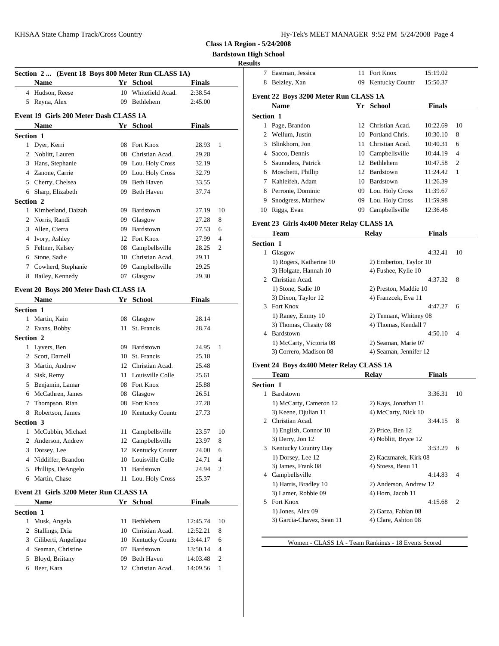| Hy-Tek's MEET MANAGER 9:52 PM 5/24/2008 Page 4 |  |  |  |
|------------------------------------------------|--|--|--|
|------------------------------------------------|--|--|--|

**Bardstown High School**

### **Results**

|                 | Section 2  (Event 18 Boys 800 Meter Run CLASS 1A) |    |                     |               |      | 7 Eastm                 |
|-----------------|---------------------------------------------------|----|---------------------|---------------|------|-------------------------|
|                 | Name                                              |    | Yr School           | <b>Finals</b> |      | Belzk<br>8              |
|                 | 4 Hudson, Reese                                   |    | 10 Whitefield Acad. | 2:38.54       |      | Event 22 B              |
|                 | 5 Reyna, Alex                                     |    | 09 Bethlehem        | 2:45.00       |      | Nam                     |
|                 | Event 19 Girls 200 Meter Dash CLASS 1A            |    |                     |               |      | <b>Section 1</b>        |
|                 | <b>Name</b>                                       |    | Yr School           | <b>Finals</b> |      | 1 Page,                 |
| Section 1       |                                                   |    |                     |               |      | 2 Wellu                 |
|                 | 1 Dyer, Kerri                                     |    | 08 Fort Knox        | 28.93         | 1    | Blink<br>3              |
|                 | 2 Noblitt, Lauren                                 |    | 08 Christian Acad.  | 29.28         |      | Sacco<br>$\overline{4}$ |
|                 | 3 Hans, Stephanie                                 |    | 09 Lou. Holy Cross  | 32.19         |      | Saunr<br>5              |
|                 | 4 Zanone, Carrie                                  |    | 09 Lou. Holy Cross  | 32.79         |      | 6 Mosc                  |
|                 | 5 Cherry, Chelsea                                 |    | 09 Beth Haven       | 33.55         |      | Kahle<br>7              |
|                 | 6 Sharp, Elizabeth                                |    | 09 Beth Haven       | 37.74         |      | 8<br>Perro              |
| Section 2       |                                                   |    |                     |               |      | 9<br>Snodg              |
|                 | 1 Kimberland, Daizah                              |    | 09 Bardstown        | 27.19         | 10   | 10<br>Riggs             |
|                 | 2 Norris, Randi                                   | 09 | Glasgow             | 27.28         | 8    |                         |
| 3               | Allen, Cierra                                     |    | 09 Bardstown        | 27.53         | 6    | Event 23 G              |
|                 | 4 Ivory, Ashley                                   |    | 12 Fort Knox        | 27.99         | 4    | Tean                    |
|                 | 5 Feltner, Kelsey                                 |    | 08 Campbellsville   | 28.25         | 2    | <b>Section 1</b>        |
|                 | 6 Stone, Sadie                                    |    | 10 Christian Acad.  | 29.11         |      | 1 Glasg                 |
| $7\phantom{.0}$ | Cowherd, Stephanie                                |    | 09 Campbellsville   | 29.25         |      | $1)$ Ro                 |
|                 | 8 Bailey, Kennedy                                 |    | 07 Glasgow          | 29.30         |      | 3) Ho                   |
|                 |                                                   |    |                     |               |      | 2 Christ                |
|                 | Event 20 Boys 200 Meter Dash CLASS 1A             |    |                     |               |      | $1)$ Sto                |
|                 | <b>Name</b>                                       |    | Yr School           | <b>Finals</b> |      | $3)$ Di                 |
| Section 1       |                                                   |    |                     |               |      | 3 Fort F                |
|                 | 1 Martin, Kain                                    |    | 08 Glasgow          | 28.14         |      | 1) Ra<br>3) Th          |
|                 | 2 Evans, Bobby                                    | 11 | St. Francis         | 28.74         |      | 4 Bards                 |
| Section 2       |                                                   |    |                     |               |      | 1) M                    |
|                 | 1 Lyvers, Ben                                     |    | 09 Bardstown        | 24.95         | 1    | 3) Co                   |
|                 | 2 Scott, Darnell                                  |    | 10 St. Francis      | 25.18         |      |                         |
|                 | 3 Martin, Andrew                                  |    | 12 Christian Acad.  | 25.48         |      | Event 24 B              |
|                 | 4 Sisk, Remy                                      |    | 11 Louisville Colle | 25.61         |      | Tean                    |
|                 | 5 Benjamin, Lamar                                 |    | 08 Fort Knox        | 25.88         |      | <b>Section 1</b>        |
|                 | 6 McCathren, James                                |    | 08 Glasgow          | 26.51         |      | 1 Bards                 |
| 7               | Thompson, Rian                                    |    | 08 Fort Knox        | 27.28         |      | 1) M                    |
|                 | 8 Robertson, James                                |    | 10 Kentucky Countr  | 27.73         |      | 3) Ke                   |
| Section 3       |                                                   |    |                     |               |      | 2 Christ                |
|                 | 1 McCubbin, Michael                               |    | 11 Campbellsville   | 23.57         | - 10 | 1) En                   |
|                 | 2 Anderson, Andrew                                |    | 12 Campbellsville   | 23.97         | 8    | 3) De                   |
| 3               | Dorsey, Lee                                       |    | 12 Kentucky Countr  | 24.00         | 6    | 3 Kentu<br>$1)$ Do      |
|                 | 4 Niddiffer, Brandon                              |    | 10 Louisville Colle | 24.71         | 4    | 3) Jan                  |
| 5               | Phillips, DeAngelo                                |    | 11 Bardstown        | 24.94         | 2    | 4 Camp                  |
|                 | 6 Martin, Chase                                   |    | 11 Lou. Holy Cross  | 25.37         |      | 1) Ha                   |
|                 | Event 21 Girls 3200 Meter Run CLASS 1A            |    |                     |               |      | $3)$ Lar                |
|                 | Name                                              |    | Yr School           | <b>Finals</b> |      | 5 Fort F                |
| Section 1       |                                                   |    |                     |               |      | $1)$ Jor                |
|                 | 1 Musk, Angela                                    | 11 | Bethlehem           | 12:45.74      | 10   | 3) Ga                   |
| 2               | Stallings, Dria                                   |    | 10 Christian Acad.  | 12:52.21      | 8    |                         |
| 3               | Ciliberti, Angelique                              |    | 10 Kentucky Countr  | 13:44.17      | 6    |                         |
| 4               | Seaman, Christine                                 |    | 07 Bardstown        | 13:50.14      | 4    |                         |
| 5               | Bloyd, Briitany                                   |    | 09 Beth Haven       | 14:03.48      | 2    |                         |
| 6               | Beer, Kara                                        |    | 12 Christian Acad.  | 14:09.56      | 1    |                         |
|                 |                                                   |    |                     |               |      |                         |
|                 |                                                   |    |                     |               |      |                         |

|                  | Eastman, Jessica                               | 11 Fort Knox                               | 15:19.02      |    |
|------------------|------------------------------------------------|--------------------------------------------|---------------|----|
|                  | 8 Belzley, Xan                                 | 09 Kentucky Countr                         | 15:50.37      |    |
|                  | Event 22 Boys 3200 Meter Run CLASS 1A          |                                            |               |    |
|                  | <b>Name</b>                                    | Yr School                                  | <b>Finals</b> |    |
| <b>Section 1</b> |                                                |                                            |               |    |
|                  | 1 Page, Brandon                                | 12 Christian Acad.                         | 10:22.69      | 10 |
|                  | 2 Wellum, Justin                               | 10 Portland Chris.                         | 10:30.10      | 8  |
|                  | 3 Blinkhorn, Jon                               | 11 Christian Acad.                         |               |    |
|                  |                                                |                                            | 10:40.31      | 6  |
|                  | 4 Sacco, Dennis                                | 10 Campbellsville                          | 10:44.19      | 4  |
|                  | 5 Saunnders, Patrick                           | 12 Bethlehem                               | 10:47.58      | 2  |
|                  | 6 Moschetti, Phillip                           | 12 Bardstown                               | 11:24.42      | 1  |
|                  | 7 Kahleifeh, Adam                              | 10 Bardstown                               | 11:26.39      |    |
|                  | 8 Perronie, Dominic                            | 09 Lou. Holy Cross                         | 11:39.67      |    |
| 9                | Snodgress, Matthew                             | 09 Lou. Holy Cross                         | 11:59.98      |    |
|                  | 10 Riggs, Evan                                 | 09 Campbellsville                          | 12:36.46      |    |
|                  | Event 23 Girls 4x400 Meter Relay CLASS 1A      |                                            |               |    |
|                  | Team                                           | <b>Relay</b>                               | <b>Finals</b> |    |
| <b>Section 1</b> |                                                |                                            |               |    |
|                  | 1 Glasgow                                      |                                            | 4:32.41       | 10 |
|                  | 1) Rogers, Katherine 10                        | 2) Emberton, Taylor 10                     |               |    |
|                  | 3) Holgate, Hannah 10                          | 4) Fushee, Kylie 10                        |               |    |
|                  | 2 Christian Acad.                              |                                            | 4:37.32       | 8  |
|                  | 1) Stone, Sadie 10                             | 2) Preston, Maddie 10                      |               |    |
|                  | 3) Dixon, Taylor 12                            | 4) Franzcek, Eva 11                        |               |    |
|                  | 3 Fort Knox                                    |                                            | 4:47.27       | 6  |
|                  | 1) Raney, Emmy 10                              | 2) Tennant, Whitney 08                     |               |    |
|                  | 3) Thomas, Chasity 08                          | 4) Thomas, Kendall 7                       |               |    |
|                  | 4 Bardstown                                    |                                            | 4:50.10       | 4  |
|                  | 1) McCarty, Victoria 08                        | 2) Seaman, Marie 07                        |               |    |
|                  | 3) Correro, Madison 08                         | 4) Seaman, Jennifer 12                     |               |    |
|                  |                                                |                                            |               |    |
|                  |                                                |                                            |               |    |
|                  | Event 24 Boys 4x400 Meter Relay CLASS 1A       |                                            |               |    |
|                  | Team                                           | Relay                                      | <b>Finals</b> |    |
| <b>Section 1</b> |                                                |                                            |               |    |
|                  | 1 Bardstown                                    |                                            | 3:36.31       | 10 |
|                  | 1) McCarty, Cameron 12                         | 2) Kays, Jonathan 11                       |               |    |
|                  | 3) Keene, Djulian 11                           | 4) McCarty, Nick 10                        |               |    |
|                  | 2 Christian Acad.                              |                                            | 3:44.15       | 8  |
|                  | 1) English, Connor 10                          | 2) Price, Ben 12                           |               |    |
|                  | 3) Derry, Jon 12                               | 4) Noblitt, Bryce 12                       |               |    |
|                  | 3 Kentucky Country Day                         |                                            | 3:53.29       | 6  |
|                  | 1) Dorsey, Lee 12                              | 2) Kaczmarek, Kirk 08                      |               |    |
|                  | 3) James, Frank 08                             | 4) Stoess, Beau 11                         |               |    |
|                  | 4 Campbellsville                               |                                            | 4:14.83       | 4  |
|                  | 1) Harris, Bradley 10                          | 2) Anderson, Andrew 12                     |               |    |
|                  | 3) Lamer, Robbie 09                            | 4) Horn, Jacob 11                          |               |    |
|                  | 5 Fort Knox                                    |                                            | 4:15.68       | 2  |
|                  | 1) Jones, Alex 09<br>3) Garcia-Chavez, Sean 11 | 2) Garza, Fabian 08<br>4) Clare, Ashton 08 |               |    |

Women - CLASS 1A - Team Rankings - 18 Events Scored